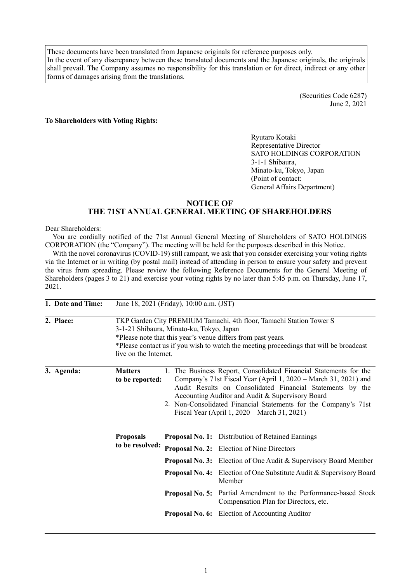These documents have been translated from Japanese originals for reference purposes only. In the event of any discrepancy between these translated documents and the Japanese originals, the originals shall prevail. The Company assumes no responsibility for this translation or for direct, indirect or any other forms of damages arising from the translations.

> (Securities Code 6287) June 2, 2021

#### **To Shareholders with Voting Rights:**

Ryutaro Kotaki Representative Director SATO HOLDINGS CORPORATION 3-1-1 Shibaura, Minato-ku, Tokyo, Japan (Point of contact: General Affairs Department)

# **NOTICE OF THE 71ST ANNUAL GENERAL MEETING OF SHAREHOLDERS**

#### Dear Shareholders:

You are cordially notified of the 71st Annual General Meeting of Shareholders of SATO HOLDINGS CORPORATION (the "Company"). The meeting will be held for the purposes described in this Notice.

With the novel coronavirus (COVID-19) still rampant, we ask that you consider exercising your voting rights via the Internet or in writing (by postal mail) instead of attending in person to ensure your safety and prevent the virus from spreading. Please review the following Reference Documents for the General Meeting of Shareholders (pages 3 to 21) and exercise your voting rights by no later than 5:45 p.m. on Thursday, June 17, 2021.

| 1. Date and Time: |                                     | June 18, 2021 (Friday), 10:00 a.m. (JST)                                                                                                                                                                                                                                                                                                                                 |                                                                                                                                                                                                                                                                                                                                                                                                                                                                |  |  |
|-------------------|-------------------------------------|--------------------------------------------------------------------------------------------------------------------------------------------------------------------------------------------------------------------------------------------------------------------------------------------------------------------------------------------------------------------------|----------------------------------------------------------------------------------------------------------------------------------------------------------------------------------------------------------------------------------------------------------------------------------------------------------------------------------------------------------------------------------------------------------------------------------------------------------------|--|--|
| 2. Place:         | live on the Internet.               | 3-1-21 Shibaura, Minato-ku, Tokyo, Japan                                                                                                                                                                                                                                                                                                                                 | TKP Garden City PREMIUM Tamachi, 4th floor, Tamachi Station Tower S<br>*Please note that this year's venue differs from past years.<br>*Please contact us if you wish to watch the meeting proceedings that will be broadcast                                                                                                                                                                                                                                  |  |  |
| 3. Agenda:        | <b>Matters</b><br>to be reported:   | 1. The Business Report, Consolidated Financial Statements for the<br>Company's 71st Fiscal Year (April 1, 2020 – March 31, 2021) and<br>Audit Results on Consolidated Financial Statements by the<br>Accounting Auditor and Audit & Supervisory Board<br>2. Non-Consolidated Financial Statements for the Company's 71st<br>Fiscal Year (April 1, 2020 – March 31, 2021) |                                                                                                                                                                                                                                                                                                                                                                                                                                                                |  |  |
|                   | <b>Proposals</b><br>to be resolved: |                                                                                                                                                                                                                                                                                                                                                                          | <b>Proposal No. 1:</b> Distribution of Retained Earnings<br><b>Proposal No. 2:</b> Election of Nine Directors<br><b>Proposal No. 3:</b> Election of One Audit & Supervisory Board Member<br><b>Proposal No. 4:</b> Election of One Substitute Audit & Supervisory Board<br>Member<br><b>Proposal No. 5:</b> Partial Amendment to the Performance-based Stock<br>Compensation Plan for Directors, etc.<br><b>Proposal No. 6:</b> Election of Accounting Auditor |  |  |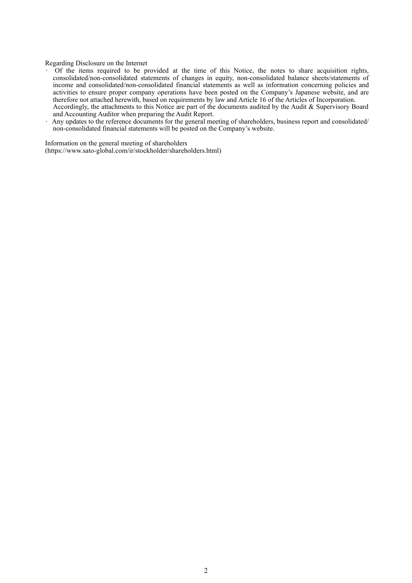#### Regarding Disclosure on the Internet

- Of the items required to be provided at the time of this Notice, the notes to share acquisition rights, consolidated/non-consolidated statements of changes in equity, non-consolidated balance sheets/statements of income and consolidated/non-consolidated financial statements as well as information concerning policies and activities to ensure proper company operations have been posted on the Company's Japanese website, and are therefore not attached herewith, based on requirements by law and Article 16 of the Articles of Incorporation. Accordingly, the attachments to this Notice are part of the documents audited by the Audit & Supervisory Board and Accounting Auditor when preparing the Audit Report.
- Any updates to the reference documents for the general meeting of shareholders, business report and consolidated/ non-consolidated financial statements will be posted on the Company's website.

Information on the general meeting of shareholders (https://www.sato-global.com/ir/stockholder/shareholders.html)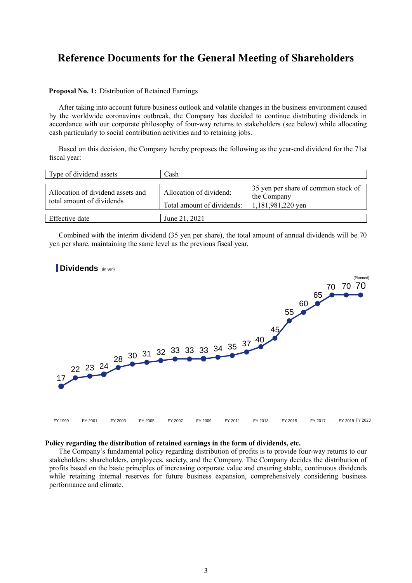# **Reference Documents for the General Meeting of Shareholders**

#### **Proposal No. 1:** Distribution of Retained Earnings

After taking into account future business outlook and volatile changes in the business environment caused by the worldwide coronavirus outbreak, the Company has decided to continue distributing dividends in accordance with our corporate philosophy of four-way returns to stakeholders (see below) while allocating cash particularly to social contribution activities and to retaining jobs.

Based on this decision, the Company hereby proposes the following as the year-end dividend for the 71st fiscal year:

| Type of dividend assets                                        | Cash                                                  |                                                                         |
|----------------------------------------------------------------|-------------------------------------------------------|-------------------------------------------------------------------------|
| Allocation of dividend assets and<br>total amount of dividends | Allocation of dividend:<br>Total amount of dividends: | 35 yen per share of common stock of<br>the Company<br>1,181,981,220 yen |
| Effective date                                                 | June 21, 2021                                         |                                                                         |

Combined with the interim dividend (35 yen per share), the total amount of annual dividends will be 70 yen per share, maintaining the same level as the previous fiscal year.



#### **Policy regarding the distribution of retained earnings in the form of dividends, etc.**

The Company's fundamental policy regarding distribution of profits is to provide four-way returns to our stakeholders: shareholders, employees, society, and the Company. The Company decides the distribution of profits based on the basic principles of increasing corporate value and ensuring stable, continuous dividends while retaining internal reserves for future business expansion, comprehensively considering business performance and climate.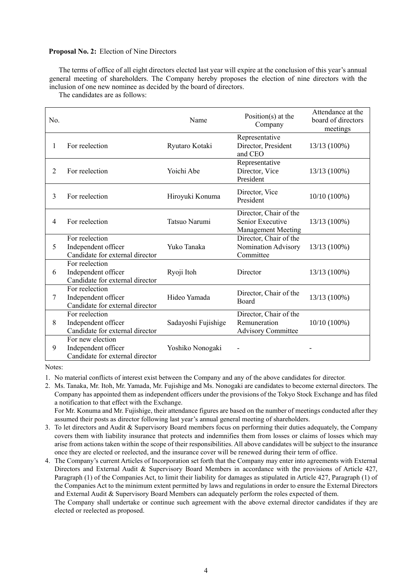#### **Proposal No. 2:** Election of Nine Directors

The terms of office of all eight directors elected last year will expire at the conclusion of this year's annual general meeting of shareholders. The Company hereby proposes the election of nine directors with the inclusion of one new nominee as decided by the board of directors.

The candidates are as follows:

| No. |                                                                            | Name                | Position(s) at the<br>Company                                           | Attendance at the<br>board of directors<br>meetings |
|-----|----------------------------------------------------------------------------|---------------------|-------------------------------------------------------------------------|-----------------------------------------------------|
| 1   | For reelection                                                             | Ryutaro Kotaki      | Representative<br>Director, President<br>and CEO                        | 13/13 (100%)                                        |
| 2   | For reelection                                                             | Yoichi Abe          | Representative<br>Director, Vice<br>President                           | 13/13 (100%)                                        |
| 3   | For reelection                                                             | Hiroyuki Konuma     | Director, Vice<br>President                                             | 10/10 (100%)                                        |
| 4   | For reelection                                                             | Tatsuo Narumi       | Director, Chair of the<br>Senior Executive<br><b>Management Meeting</b> | 13/13 (100%)                                        |
| 5   | For reelection<br>Independent officer<br>Candidate for external director   | Yuko Tanaka         | Director, Chair of the<br>Nomination Advisory<br>Committee              | 13/13 (100%)                                        |
| 6   | For reelection<br>Independent officer<br>Candidate for external director   | Ryoji Itoh          | Director                                                                | 13/13 (100%)                                        |
| 7   | For reelection<br>Independent officer<br>Candidate for external director   | Hideo Yamada        | Director, Chair of the<br>Board                                         | 13/13 (100%)                                        |
| 8   | For reelection<br>Independent officer<br>Candidate for external director   | Sadayoshi Fujishige | Director, Chair of the<br>Remuneration<br><b>Advisory Committee</b>     | $10/10(100\%)$                                      |
| 9   | For new election<br>Independent officer<br>Candidate for external director | Yoshiko Nonogaki    |                                                                         |                                                     |

Notes:

1. No material conflicts of interest exist between the Company and any of the above candidates for director.

2. Ms. Tanaka, Mr. Itoh, Mr. Yamada, Mr. Fujishige and Ms. Nonogaki are candidates to become external directors. The Company has appointed them as independent officers under the provisions of the Tokyo Stock Exchange and has filed a notification to that effect with the Exchange.

For Mr. Konuma and Mr. Fujishige, their attendance figures are based on the number of meetings conducted after they assumed their posts as director following last year's annual general meeting of shareholders.

- 3. To let directors and Audit & Supervisory Board members focus on performing their duties adequately, the Company covers them with liability insurance that protects and indemnifies them from losses or claims of losses which may arise from actions taken within the scope of their responsibilities. All above candidates will be subject to the insurance once they are elected or reelected, and the insurance cover will be renewed during their term of office.
- 4. The Company's current Articles of Incorporation set forth that the Company may enter into agreements with External Directors and External Audit & Supervisory Board Members in accordance with the provisions of Article 427, Paragraph (1) of the Companies Act, to limit their liability for damages as stipulated in Article 427, Paragraph (1) of the Companies Act to the minimum extent permitted by laws and regulations in order to ensure the External Directors and External Audit & Supervisory Board Members can adequately perform the roles expected of them.

The Company shall undertake or continue such agreement with the above external director candidates if they are elected or reelected as proposed.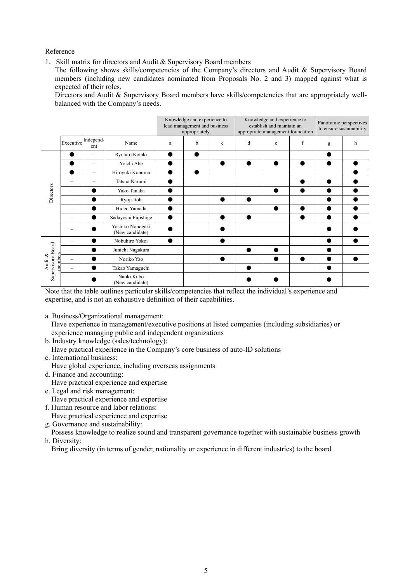# Reference

1.Skill matrix for directors and Audit & Supervisory Board members

The following shows skills/competencies of the Company's directors and Audit & Supervisory Board members (including new candidates nominated from Proposals No. 2 and 3) mapped against what is expected of their roles.

Directors and Audit & Supervisory Board members have skills/competencies that are appropriately wellbalanced with the Company's needs.

|                                                      |                          |                  |                                     | Knowledge and experience to<br>lead management and business<br>appropriately |   | Knowledge and experience to<br>establish and maintain an<br>appropriate management foundation |   |           | Panoramic perspectives<br>to ensure sustainability |           |   |
|------------------------------------------------------|--------------------------|------------------|-------------------------------------|------------------------------------------------------------------------------|---|-----------------------------------------------------------------------------------------------|---|-----------|----------------------------------------------------|-----------|---|
|                                                      | Executive                | Independ-<br>ent | Name                                | a                                                                            | b | $\mathbf c$                                                                                   | d | e         | f                                                  | g         | h |
|                                                      |                          |                  | Ryutaro Kotaki                      |                                                                              | ٠ |                                                                                               |   |           |                                                    |           |   |
|                                                      |                          |                  | Yoichi Abe                          |                                                                              |   |                                                                                               |   | $\bullet$ | $\bullet$                                          | $\bullet$ |   |
|                                                      |                          | =                | Hiroyuki Konuma                     |                                                                              |   |                                                                                               |   |           |                                                    |           |   |
|                                                      |                          |                  | Tatsuo Narumi                       |                                                                              |   |                                                                                               |   |           |                                                    | ●         |   |
|                                                      |                          |                  | Yuko Tanaka                         |                                                                              |   |                                                                                               |   | e         | ●                                                  |           |   |
|                                                      | $\overline{\phantom{0}}$ |                  | Ryoji Itoh                          |                                                                              |   |                                                                                               |   |           |                                                    |           |   |
|                                                      | $\overline{\phantom{0}}$ |                  | Hideo Yamada                        |                                                                              |   |                                                                                               |   | ●         | ●                                                  |           |   |
|                                                      | ÷                        |                  | Sadayoshi Fujishige                 |                                                                              |   |                                                                                               |   |           |                                                    |           |   |
| Directors<br>Supervisory Board<br>members<br>Audit & |                          |                  | Yoshiko Nonogaki<br>(New candidate) |                                                                              |   |                                                                                               |   |           |                                                    |           |   |
|                                                      |                          |                  | Nobuhiro Yokoi                      |                                                                              |   |                                                                                               |   |           |                                                    |           |   |
|                                                      |                          |                  | Junichi Nagakura                    |                                                                              |   |                                                                                               |   |           |                                                    |           |   |
|                                                      |                          |                  | Noriko Yao                          |                                                                              |   |                                                                                               |   |           |                                                    |           |   |
|                                                      |                          |                  | Takao Yamaguchi                     |                                                                              |   |                                                                                               |   |           |                                                    |           |   |
|                                                      |                          |                  | Naoki Kubo<br>(New candidate)       |                                                                              |   |                                                                                               |   |           |                                                    |           |   |

Note that the table outlines particular skills/competencies that reflect the individual's experience and expertise, and is not an exhaustive definition of their capabilities.

- a. Business/Organizational management:
- Have experience in management/executive positions at listed companies (including subsidiaries) or experience managing public and independent organizations
- b. Industry knowledge (sales/technology): Have practical experience in the Company's core business of auto-ID solutions
- c. International business:
- Have global experience, including overseas assignments
- d. Finance and accounting:
	- Have practical experience and expertise
- e. Legal and risk management:
- Have practical experience and expertise
- f. Human resource and labor relations:

Have practical experience and expertise

g. Governance and sustainability:

Possess knowledge to realize sound and transparent governance together with sustainable business growth h. Diversity:

Bring diversity (in terms of gender, nationality or experience in different industries) to the board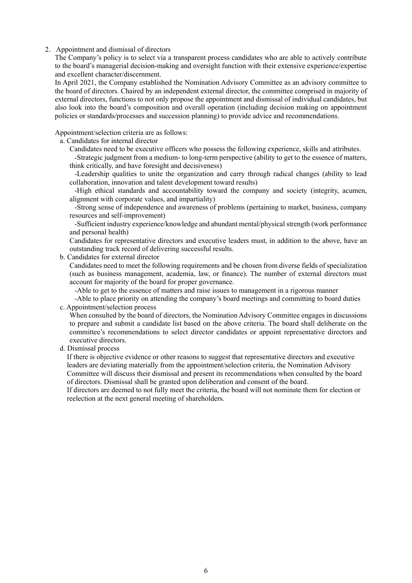#### 2.Appointment and dismissal of directors

The Company's policy is to select via a transparent process candidates who are able to actively contribute to the board's managerial decision-making and oversight function with their extensive experience/expertise and excellent character/discernment.

In April 2021, the Company established the Nomination Advisory Committee as an advisory committee to the board of directors. Chaired by an independent external director, the committee comprised in majority of external directors, functions to not only propose the appointment and dismissal of individual candidates, but also look into the board's composition and overall operation (including decision making on appointment policies or standards/processes and succession planning) to provide advice and recommendations.

Appointment/selection criteria are as follows:

a. Candidates for internal director

Candidates need to be executive officers who possess the following experience, skills and attributes.

-Strategic judgment from a medium- to long-term perspective (ability to get to the essence of matters, think critically, and have foresight and decisiveness)

-Leadership qualities to unite the organization and carry through radical changes (ability to lead collaboration, innovation and talent development toward results)

-High ethical standards and accountability toward the company and society (integrity, acumen, alignment with corporate values, and impartiality)

-Strong sense of independence and awareness of problems (pertaining to market, business, company resources and self-improvement)

-Sufficient industry experience/knowledge and abundant mental/physical strength (work performance and personal health)

Candidates for representative directors and executive leaders must, in addition to the above, have an outstanding track record of delivering successful results.

b. Candidates for external director

Candidates need to meet the following requirements and be chosen from diverse fields of specialization (such as business management, academia, law, or finance). The number of external directors must account for majority of the board for proper governance.

-Able to get to the essence of matters and raise issues to management in a rigorous manner

-Able to place priority on attending the company's board meetings and committing to board duties c. Appointment/selection process

When consulted by the board of directors, the Nomination Advisory Committee engages in discussions to prepare and submit a candidate list based on the above criteria. The board shall deliberate on the committee's recommendations to select director candidates or appoint representative directors and executive directors.

d. Dismissal process

If there is objective evidence or other reasons to suggest that representative directors and executive leaders are deviating materially from the appointment/selection criteria, the Nomination Advisory Committee will discuss their dismissal and present its recommendations when consulted by the board of directors. Dismissal shall be granted upon deliberation and consent of the board.

If directors are deemed to not fully meet the criteria, the board will not nominate them for election or reelection at the next general meeting of shareholders.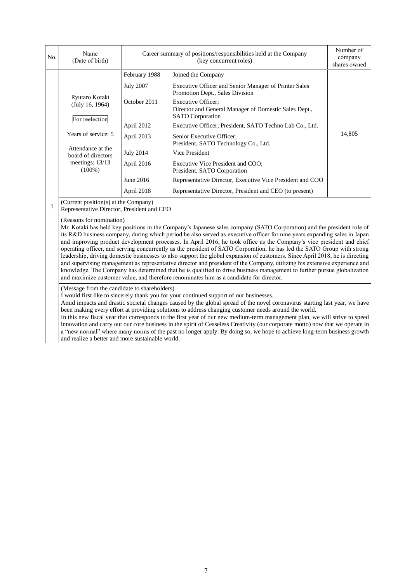| No. | Name<br>(Date of birth)                                                                                                                                                                                                                                                                                                                                                                                                                                                                                                                                                                                                                                                                                                                                                                                                                                                                                                                                                                                                |                  | Career summary of positions/responsibilities held at the Company<br>(key concurrent roles)                                                                                                           |        |  |  |
|-----|------------------------------------------------------------------------------------------------------------------------------------------------------------------------------------------------------------------------------------------------------------------------------------------------------------------------------------------------------------------------------------------------------------------------------------------------------------------------------------------------------------------------------------------------------------------------------------------------------------------------------------------------------------------------------------------------------------------------------------------------------------------------------------------------------------------------------------------------------------------------------------------------------------------------------------------------------------------------------------------------------------------------|------------------|------------------------------------------------------------------------------------------------------------------------------------------------------------------------------------------------------|--------|--|--|
|     |                                                                                                                                                                                                                                                                                                                                                                                                                                                                                                                                                                                                                                                                                                                                                                                                                                                                                                                                                                                                                        | February 1988    | Joined the Company                                                                                                                                                                                   |        |  |  |
|     |                                                                                                                                                                                                                                                                                                                                                                                                                                                                                                                                                                                                                                                                                                                                                                                                                                                                                                                                                                                                                        | <b>July 2007</b> | Executive Officer and Senior Manager of Printer Sales<br>Promotion Dept., Sales Division                                                                                                             |        |  |  |
|     | Ryutaro Kotaki<br>(July 16, 1964)                                                                                                                                                                                                                                                                                                                                                                                                                                                                                                                                                                                                                                                                                                                                                                                                                                                                                                                                                                                      | October 2011     | Executive Officer;<br>Director and General Manager of Domestic Sales Dept.,<br><b>SATO</b> Corporation                                                                                               |        |  |  |
|     | For reelection                                                                                                                                                                                                                                                                                                                                                                                                                                                                                                                                                                                                                                                                                                                                                                                                                                                                                                                                                                                                         | April 2012       | Executive Officer; President, SATO Techno Lab Co., Ltd.                                                                                                                                              |        |  |  |
|     | Years of service: 5                                                                                                                                                                                                                                                                                                                                                                                                                                                                                                                                                                                                                                                                                                                                                                                                                                                                                                                                                                                                    | April 2013       | Senior Executive Officer;<br>President, SATO Technology Co., Ltd.                                                                                                                                    | 14,805 |  |  |
|     | Attendance at the<br>board of directors                                                                                                                                                                                                                                                                                                                                                                                                                                                                                                                                                                                                                                                                                                                                                                                                                                                                                                                                                                                | <b>July 2014</b> | Vice President                                                                                                                                                                                       |        |  |  |
|     | meetings: $13/13$<br>$(100\%)$                                                                                                                                                                                                                                                                                                                                                                                                                                                                                                                                                                                                                                                                                                                                                                                                                                                                                                                                                                                         | April 2016       | Executive Vice President and COO;<br>President, SATO Corporation                                                                                                                                     |        |  |  |
|     |                                                                                                                                                                                                                                                                                                                                                                                                                                                                                                                                                                                                                                                                                                                                                                                                                                                                                                                                                                                                                        | June 2016        | Representative Director, Executive Vice President and COO                                                                                                                                            |        |  |  |
|     |                                                                                                                                                                                                                                                                                                                                                                                                                                                                                                                                                                                                                                                                                                                                                                                                                                                                                                                                                                                                                        | April 2018       | Representative Director, President and CEO (to present)                                                                                                                                              |        |  |  |
| 1   | (Current position(s) at the Company)<br>Representative Director, President and CEO                                                                                                                                                                                                                                                                                                                                                                                                                                                                                                                                                                                                                                                                                                                                                                                                                                                                                                                                     |                  |                                                                                                                                                                                                      |        |  |  |
|     | (Reasons for nomination)<br>Mr. Kotaki has held key positions in the Company's Japanese sales company (SATO Corporation) and the president role of<br>its R&D business company, during which period he also served as executive officer for nine years expanding sales in Japan<br>and improving product development processes. In April 2016, he took office as the Company's vice president and chief<br>operating officer, and serving concurrently as the president of SATO Corporation, he has led the SATO Group with strong<br>leadership, driving domestic businesses to also support the global expansion of customers. Since April 2018, he is directing<br>and supervising management as representative director and president of the Company, utilizing his extensive experience and<br>knowledge. The Company has determined that he is qualified to drive business management to further pursue globalization<br>and maximize customer value, and therefore renominates him as a candidate for director. |                  |                                                                                                                                                                                                      |        |  |  |
|     | (Message from the candidate to shareholders)                                                                                                                                                                                                                                                                                                                                                                                                                                                                                                                                                                                                                                                                                                                                                                                                                                                                                                                                                                           |                  | I would first like to sincerely thank you for your continued support of our businesses.<br>$(1,1,1)$ , $(1,1,1)$ , $(2,1,1)$ , $(3,1,1)$ , $(1,1,1)$ , $(1,1,1)$ , $(1,0,1)$ , $(1,1,1)$ , $(1,1,1)$ |        |  |  |

Amid impacts and drastic societal changes caused by the global spread of the novel coronavirus starting last year, we have been making every effort at providing solutions to address changing customer needs around the world.

In this new fiscal year that corresponds to the first year of our new medium-term management plan, we will strive to speed innovation and carry out our core business in the spirit of Ceaseless Creativity (our corporate motto) now that we operate in a "new normal" where many norms of the past no longer apply. By doing so, we hope to achieve long-term business growth and realize a better and more sustainable world.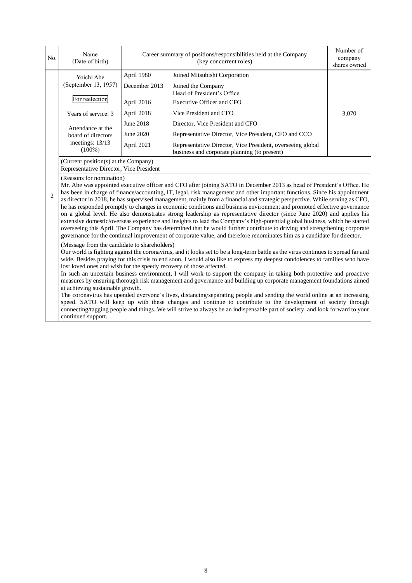| No.            | Name<br>(Date of birth)                                                                                                                                                                                                                                                                                                                                                                                                                                                                                                                                                                                                                                                                                                                                                                                                                                                                                                                                                                                                                                                                                                                                                                                  |               | Career summary of positions/responsibilities held at the Company<br>(key concurrent roles)                 |       |  |  |
|----------------|----------------------------------------------------------------------------------------------------------------------------------------------------------------------------------------------------------------------------------------------------------------------------------------------------------------------------------------------------------------------------------------------------------------------------------------------------------------------------------------------------------------------------------------------------------------------------------------------------------------------------------------------------------------------------------------------------------------------------------------------------------------------------------------------------------------------------------------------------------------------------------------------------------------------------------------------------------------------------------------------------------------------------------------------------------------------------------------------------------------------------------------------------------------------------------------------------------|---------------|------------------------------------------------------------------------------------------------------------|-------|--|--|
|                | Yoichi Abe                                                                                                                                                                                                                                                                                                                                                                                                                                                                                                                                                                                                                                                                                                                                                                                                                                                                                                                                                                                                                                                                                                                                                                                               | April 1980    | Joined Mitsubishi Corporation                                                                              |       |  |  |
|                | (September 13, 1957)                                                                                                                                                                                                                                                                                                                                                                                                                                                                                                                                                                                                                                                                                                                                                                                                                                                                                                                                                                                                                                                                                                                                                                                     | December 2013 | Joined the Company<br>Head of President's Office                                                           |       |  |  |
|                | For reelection                                                                                                                                                                                                                                                                                                                                                                                                                                                                                                                                                                                                                                                                                                                                                                                                                                                                                                                                                                                                                                                                                                                                                                                           | April 2016    | Executive Officer and CFO                                                                                  |       |  |  |
|                | Years of service: 3                                                                                                                                                                                                                                                                                                                                                                                                                                                                                                                                                                                                                                                                                                                                                                                                                                                                                                                                                                                                                                                                                                                                                                                      | April 2018    | Vice President and CFO                                                                                     | 3,070 |  |  |
|                | Attendance at the                                                                                                                                                                                                                                                                                                                                                                                                                                                                                                                                                                                                                                                                                                                                                                                                                                                                                                                                                                                                                                                                                                                                                                                        | June 2018     | Director, Vice President and CFO                                                                           |       |  |  |
|                | board of directors                                                                                                                                                                                                                                                                                                                                                                                                                                                                                                                                                                                                                                                                                                                                                                                                                                                                                                                                                                                                                                                                                                                                                                                       | June 2020     | Representative Director, Vice President, CFO and CCO                                                       |       |  |  |
|                | meetings: 13/13<br>$(100\%)$                                                                                                                                                                                                                                                                                                                                                                                                                                                                                                                                                                                                                                                                                                                                                                                                                                                                                                                                                                                                                                                                                                                                                                             | April 2021    | Representative Director, Vice President, overseeing global<br>business and corporate planning (to present) |       |  |  |
|                | (Current position(s) at the Company)<br>Representative Director, Vice President                                                                                                                                                                                                                                                                                                                                                                                                                                                                                                                                                                                                                                                                                                                                                                                                                                                                                                                                                                                                                                                                                                                          |               |                                                                                                            |       |  |  |
| $\overline{2}$ | (Reasons for nomination)<br>Mr. Abe was appointed executive officer and CFO after joining SATO in December 2013 as head of President's Office. He<br>has been in charge of finance/accounting, IT, legal, risk management and other important functions. Since his appointment<br>as director in 2018, he has supervised management, mainly from a financial and strategic perspective. While serving as CFO,<br>he has responded promptly to changes in economic conditions and business environment and promoted effective governance<br>on a global level. He also demonstrates strong leadership as representative director (since June 2020) and applies his<br>extensive domestic/overseas experience and insights to lead the Company's high-potential global business, which he started<br>overseeing this April. The Company has determined that he would further contribute to driving and strengthening corporate                                                                                                                                                                                                                                                                             |               |                                                                                                            |       |  |  |
|                | governance for the continual improvement of corporate value, and therefore renominates him as a candidate for director.<br>(Message from the candidate to shareholders)<br>Our world is fighting against the coronavirus, and it looks set to be a long-term battle as the virus continues to spread far and<br>wide. Besides praying for this crisis to end soon, I would also like to express my deepest condolences to families who have<br>lost loved ones and wish for the speedy recovery of those affected.<br>In such an uncertain business environment, I will work to support the company in taking both protective and proactive<br>measures by ensuring thorough risk management and governance and building up corporate management foundations aimed<br>at achieving sustainable growth.<br>The coronavirus has upended everyone's lives, distancing/separating people and sending the world online at an increasing<br>speed. SATO will keep up with these changes and continue to contribute to the development of society through<br>connecting/tagging people and things. We will strive to always be an indispensable part of society, and look forward to your<br>continued support. |               |                                                                                                            |       |  |  |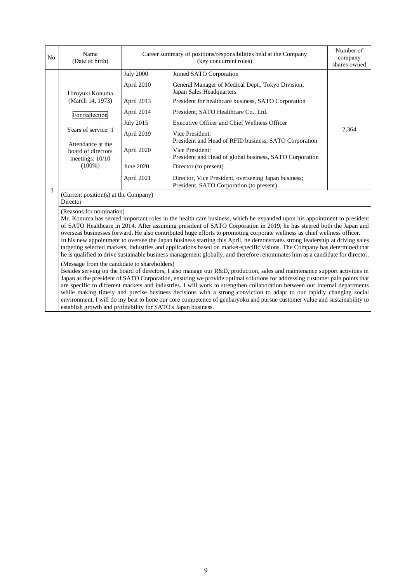| No. | Name<br>(Date of birth)                                                                                                                                                                                                                                                                                                                                                                                                                                                                                                                                                                                                                                                                                                                                                                             | Career summary of positions/responsibilities held at the Company<br>(key concurrent roles) |                                                                                                  | Number of<br>company<br>shares owned |  |  |
|-----|-----------------------------------------------------------------------------------------------------------------------------------------------------------------------------------------------------------------------------------------------------------------------------------------------------------------------------------------------------------------------------------------------------------------------------------------------------------------------------------------------------------------------------------------------------------------------------------------------------------------------------------------------------------------------------------------------------------------------------------------------------------------------------------------------------|--------------------------------------------------------------------------------------------|--------------------------------------------------------------------------------------------------|--------------------------------------|--|--|
|     |                                                                                                                                                                                                                                                                                                                                                                                                                                                                                                                                                                                                                                                                                                                                                                                                     | <b>July 2000</b>                                                                           | Joined SATO Corporation                                                                          |                                      |  |  |
|     | Hiroyuki Konuma                                                                                                                                                                                                                                                                                                                                                                                                                                                                                                                                                                                                                                                                                                                                                                                     | April 2010                                                                                 | General Manager of Medical Dept., Tokyo Division,<br>Japan Sales Headquarters                    |                                      |  |  |
|     | (March 14, 1973)                                                                                                                                                                                                                                                                                                                                                                                                                                                                                                                                                                                                                                                                                                                                                                                    | April 2013                                                                                 | President for healthcare business, SATO Corporation                                              |                                      |  |  |
|     | For reelection                                                                                                                                                                                                                                                                                                                                                                                                                                                                                                                                                                                                                                                                                                                                                                                      | April 2014                                                                                 | President, SATO Healthcare Co., Ltd.                                                             |                                      |  |  |
|     |                                                                                                                                                                                                                                                                                                                                                                                                                                                                                                                                                                                                                                                                                                                                                                                                     | <b>July 2015</b>                                                                           | <b>Executive Officer and Chief Wellness Officer</b>                                              |                                      |  |  |
|     | Years of service: 1<br>Attendance at the                                                                                                                                                                                                                                                                                                                                                                                                                                                                                                                                                                                                                                                                                                                                                            | April 2019                                                                                 | Vice President;<br>President and Head of RFID business, SATO Corporation                         | 2,364                                |  |  |
|     | board of directors<br>meetings: 10/10                                                                                                                                                                                                                                                                                                                                                                                                                                                                                                                                                                                                                                                                                                                                                               | April 2020                                                                                 | Vice President:<br>President and Head of global business, SATO Corporation                       |                                      |  |  |
|     | $(100\%)$                                                                                                                                                                                                                                                                                                                                                                                                                                                                                                                                                                                                                                                                                                                                                                                           | June 2020                                                                                  | Director (to present)                                                                            |                                      |  |  |
|     |                                                                                                                                                                                                                                                                                                                                                                                                                                                                                                                                                                                                                                                                                                                                                                                                     | April 2021                                                                                 | Director, Vice President, overseeing Japan business;<br>President, SATO Corporation (to present) |                                      |  |  |
| 3   | (Current position(s) at the Company)<br>Director                                                                                                                                                                                                                                                                                                                                                                                                                                                                                                                                                                                                                                                                                                                                                    |                                                                                            |                                                                                                  |                                      |  |  |
|     | (Reasons for nomination)<br>Mr. Konuma has served important roles in the health care business, which he expanded upon his appointment to president<br>of SATO Healthcare in 2014. After assuming president of SATO Corporation in 2019, he has steered both the Japan and<br>overseas businesses forward. He also contributed huge efforts to promoting corporate wellness as chief wellness officer.<br>In his new appointment to oversee the Japan business starting this April, he demonstrates strong leadership at driving sales<br>targeting selected markets, industries and applications based on market-specific visions. The Company has determined that<br>he is qualified to drive sustainable business management globally, and therefore renominates him as a candidate for director. |                                                                                            |                                                                                                  |                                      |  |  |
|     | (Message from the candidate to shareholders)<br>Besides serving on the board of directors, I also manage our R&D, production, sales and maintenance support activities in<br>Japan as the president of SATO Corporation, ensuring we provide optimal solutions for addressing customer pain points that<br>are specific to different markets and industries. I will work to strengthen collaboration between our internal departments<br>while making timely and precise business decisions with a strong conviction to adapt to our rapidly changing social<br>environment. I will do my best to hone our core competence of genbaryoku and pursue customer value and sustainability to<br>establish growth and profitability for SATO's Japan business.                                           |                                                                                            |                                                                                                  |                                      |  |  |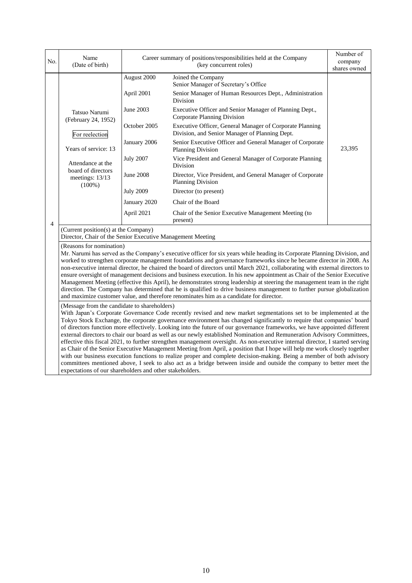| No. | Name<br>(Date of birth)                                                                                                                                                        |                                                                                                                                                           | Career summary of positions/responsibilities held at the Company<br>(key concurrent roles)                                                                                                                                                                                                                                                                                                                                                                                                                                                                                                                                                                                                                                                                                                                                                                                                                                                                                                                                                                                                                                                                                                                                                                                                                                                                                                                                                                                                                                                                                                                                                                                                                                                                                                                                                                                             |        |
|-----|--------------------------------------------------------------------------------------------------------------------------------------------------------------------------------|-----------------------------------------------------------------------------------------------------------------------------------------------------------|----------------------------------------------------------------------------------------------------------------------------------------------------------------------------------------------------------------------------------------------------------------------------------------------------------------------------------------------------------------------------------------------------------------------------------------------------------------------------------------------------------------------------------------------------------------------------------------------------------------------------------------------------------------------------------------------------------------------------------------------------------------------------------------------------------------------------------------------------------------------------------------------------------------------------------------------------------------------------------------------------------------------------------------------------------------------------------------------------------------------------------------------------------------------------------------------------------------------------------------------------------------------------------------------------------------------------------------------------------------------------------------------------------------------------------------------------------------------------------------------------------------------------------------------------------------------------------------------------------------------------------------------------------------------------------------------------------------------------------------------------------------------------------------------------------------------------------------------------------------------------------------|--------|
| 4   | Tatsuo Narumi<br>(February 24, 1952)<br>For reelection<br>Years of service: 13<br>Attendance at the<br>board of directors<br>meetings: 13/13<br>$(100\%)$                      | August 2000<br>April 2001<br>June 2003<br>October 2005<br>January 2006<br><b>July 2007</b><br>June 2008<br><b>July 2009</b><br>January 2020<br>April 2021 | Joined the Company<br>Senior Manager of Secretary's Office<br>Senior Manager of Human Resources Dept., Administration<br>Division<br>Executive Officer and Senior Manager of Planning Dept.,<br>Corporate Planning Division<br>Executive Officer, General Manager of Corporate Planning<br>Division, and Senior Manager of Planning Dept.<br>Senior Executive Officer and General Manager of Corporate<br><b>Planning Division</b><br>Vice President and General Manager of Corporate Planning<br>Division<br>Director, Vice President, and General Manager of Corporate<br><b>Planning Division</b><br>Director (to present)<br>Chair of the Board<br>Chair of the Senior Executive Management Meeting (to<br>present)                                                                                                                                                                                                                                                                                                                                                                                                                                                                                                                                                                                                                                                                                                                                                                                                                                                                                                                                                                                                                                                                                                                                                                | 23,395 |
|     | (Current position(s) at the Company)<br>Director, Chair of the Senior Executive Management Meeting<br>(Reasons for nomination)<br>(Message from the candidate to shareholders) |                                                                                                                                                           | Mr. Narumi has served as the Company's executive officer for six years while heading its Corporate Planning Division, and<br>worked to strengthen corporate management foundations and governance frameworks since he became director in 2008. As<br>non-executive internal director, he chaired the board of directors until March 2021, collaborating with external directors to<br>ensure oversight of management decisions and business execution. In his new appointment as Chair of the Senior Executive<br>Management Meeting (effective this April), he demonstrates strong leadership at steering the management team in the right<br>direction. The Company has determined that he is qualified to drive business management to further pursue globalization<br>and maximize customer value, and therefore renominates him as a candidate for director.<br>With Japan's Corporate Governance Code recently revised and new market segmentations set to be implemented at the<br>Tokyo Stock Exchange, the corporate governance environment has changed significantly to require that companies' board<br>of directors function more effectively. Looking into the future of our governance frameworks, we have appointed different<br>external directors to chair our board as well as our newly established Nomination and Remuneration Advisory Committees,<br>effective this fiscal 2021, to further strengthen management oversight. As non-executive internal director, I started serving<br>as Chair of the Senior Executive Management Meeting from April, a position that I hope will help me work closely together<br>with our business execution functions to realize proper and complete decision-making. Being a member of both advisory<br>committees mentioned above, I seek to also act as a bridge between inside and outside the company to better meet the |        |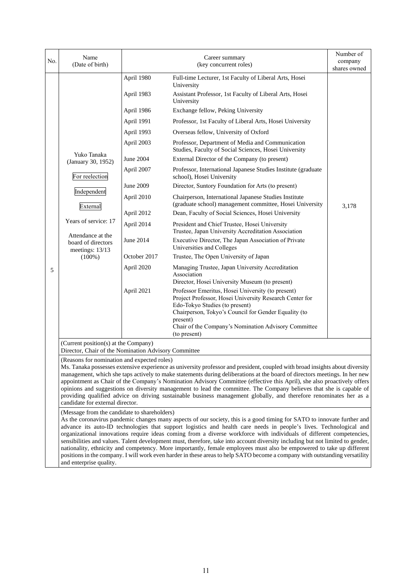| No. | Name<br>(Date of birth)                                                                                                                                                                                                                                                                                                                                                                                                                                                                                                                                                                                                                                                                                                                                                                                                                    |                          | Career summary<br>(key concurrent roles)                                                                                                                                                                                                                                                   | Number of<br>company<br>shares owned |  |
|-----|--------------------------------------------------------------------------------------------------------------------------------------------------------------------------------------------------------------------------------------------------------------------------------------------------------------------------------------------------------------------------------------------------------------------------------------------------------------------------------------------------------------------------------------------------------------------------------------------------------------------------------------------------------------------------------------------------------------------------------------------------------------------------------------------------------------------------------------------|--------------------------|--------------------------------------------------------------------------------------------------------------------------------------------------------------------------------------------------------------------------------------------------------------------------------------------|--------------------------------------|--|
|     |                                                                                                                                                                                                                                                                                                                                                                                                                                                                                                                                                                                                                                                                                                                                                                                                                                            | April 1980<br>April 1983 | Full-time Lecturer, 1st Faculty of Liberal Arts, Hosei<br>University<br>Assistant Professor, 1st Faculty of Liberal Arts, Hosei                                                                                                                                                            |                                      |  |
|     |                                                                                                                                                                                                                                                                                                                                                                                                                                                                                                                                                                                                                                                                                                                                                                                                                                            | April 1986               | University<br>Exchange fellow, Peking University                                                                                                                                                                                                                                           |                                      |  |
|     |                                                                                                                                                                                                                                                                                                                                                                                                                                                                                                                                                                                                                                                                                                                                                                                                                                            | April 1991               | Professor, 1st Faculty of Liberal Arts, Hosei University                                                                                                                                                                                                                                   |                                      |  |
|     |                                                                                                                                                                                                                                                                                                                                                                                                                                                                                                                                                                                                                                                                                                                                                                                                                                            | April 1993               |                                                                                                                                                                                                                                                                                            |                                      |  |
|     |                                                                                                                                                                                                                                                                                                                                                                                                                                                                                                                                                                                                                                                                                                                                                                                                                                            | April 2003               | Overseas fellow, University of Oxford<br>Professor, Department of Media and Communication                                                                                                                                                                                                  |                                      |  |
|     | Yuko Tanaka                                                                                                                                                                                                                                                                                                                                                                                                                                                                                                                                                                                                                                                                                                                                                                                                                                |                          | Studies, Faculty of Social Sciences, Hosei University                                                                                                                                                                                                                                      |                                      |  |
|     | (January 30, 1952)                                                                                                                                                                                                                                                                                                                                                                                                                                                                                                                                                                                                                                                                                                                                                                                                                         | June 2004                | External Director of the Company (to present)                                                                                                                                                                                                                                              |                                      |  |
|     | For reelection                                                                                                                                                                                                                                                                                                                                                                                                                                                                                                                                                                                                                                                                                                                                                                                                                             | April 2007               | Professor, International Japanese Studies Institute (graduate<br>school), Hosei University                                                                                                                                                                                                 |                                      |  |
|     | Independent                                                                                                                                                                                                                                                                                                                                                                                                                                                                                                                                                                                                                                                                                                                                                                                                                                | June 2009                | Director, Suntory Foundation for Arts (to present)                                                                                                                                                                                                                                         |                                      |  |
|     | External                                                                                                                                                                                                                                                                                                                                                                                                                                                                                                                                                                                                                                                                                                                                                                                                                                   | April 2010               | Chairperson, International Japanese Studies Institute<br>(graduate school) management committee, Hosei University                                                                                                                                                                          | 3,178                                |  |
|     |                                                                                                                                                                                                                                                                                                                                                                                                                                                                                                                                                                                                                                                                                                                                                                                                                                            | April 2012               | Dean, Faculty of Social Sciences, Hosei University                                                                                                                                                                                                                                         |                                      |  |
|     | Years of service: 17                                                                                                                                                                                                                                                                                                                                                                                                                                                                                                                                                                                                                                                                                                                                                                                                                       | April 2014               | President and Chief Trustee, Hosei University<br>Trustee, Japan University Accreditation Association                                                                                                                                                                                       |                                      |  |
|     | Attendance at the<br>board of directors<br>meetings: 13/13                                                                                                                                                                                                                                                                                                                                                                                                                                                                                                                                                                                                                                                                                                                                                                                 | June 2014                | Executive Director, The Japan Association of Private<br>Universities and Colleges                                                                                                                                                                                                          |                                      |  |
|     | $(100\%)$                                                                                                                                                                                                                                                                                                                                                                                                                                                                                                                                                                                                                                                                                                                                                                                                                                  | October 2017             | Trustee, The Open University of Japan                                                                                                                                                                                                                                                      |                                      |  |
| 5   |                                                                                                                                                                                                                                                                                                                                                                                                                                                                                                                                                                                                                                                                                                                                                                                                                                            | April 2020               | Managing Trustee, Japan University Accreditation<br>Association<br>Director, Hosei University Museum (to present)                                                                                                                                                                          |                                      |  |
|     |                                                                                                                                                                                                                                                                                                                                                                                                                                                                                                                                                                                                                                                                                                                                                                                                                                            | April 2021               | Professor Emeritus, Hosei University (to present)<br>Project Professor, Hosei University Research Center for<br>Edo-Tokyo Studies (to present)<br>Chairperson, Tokyo's Council for Gender Equality (to<br>present)<br>Chair of the Company's Nomination Advisory Committee<br>(to present) |                                      |  |
|     | (Current position(s) at the Company)<br>Director, Chair of the Nomination Advisory Committee                                                                                                                                                                                                                                                                                                                                                                                                                                                                                                                                                                                                                                                                                                                                               |                          |                                                                                                                                                                                                                                                                                            |                                      |  |
|     | (Reasons for nomination and expected roles)<br>Ms. Tanaka possesses extensive experience as university professor and president, coupled with broad insights about diversity<br>management, which she taps actively to make statements during deliberations at the board of directors meetings. In her new<br>appointment as Chair of the Company's Nomination Advisory Committee (effective this April), she also proactively offers<br>opinions and suggestions on diversity management to lead the committee. The Company believes that she is capable of<br>providing qualified advice on driving sustainable business management globally, and therefore renominates her as a<br>candidate for external director.                                                                                                                      |                          |                                                                                                                                                                                                                                                                                            |                                      |  |
|     | (Message from the candidate to shareholders)<br>As the coronavirus pandemic changes many aspects of our society, this is a good timing for SATO to innovate further and<br>advance its auto-ID technologies that support logistics and health care needs in people's lives. Technological and<br>organizational innovations require ideas coming from a diverse workforce with individuals of different competencies,<br>sensibilities and values. Talent development must, therefore, take into account diversity including but not limited to gender,<br>nationality, ethnicity and competency. More importantly, female employees must also be empowered to take up different<br>positions in the company. I will work even harder in these areas to help SATO become a company with outstanding versatility<br>and enterprise quality. |                          |                                                                                                                                                                                                                                                                                            |                                      |  |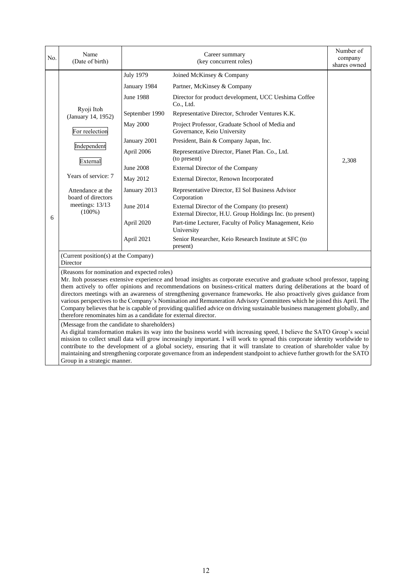| No. | Name<br>(Date of birth)                                                                                                                                                                                                                                                                                                                                                                                                                                                                                                                                                                                                                                                                                                                            |                  | Career summary<br>(key concurrent roles)                                                                  | Number of<br>company<br>shares owned |  |  |
|-----|----------------------------------------------------------------------------------------------------------------------------------------------------------------------------------------------------------------------------------------------------------------------------------------------------------------------------------------------------------------------------------------------------------------------------------------------------------------------------------------------------------------------------------------------------------------------------------------------------------------------------------------------------------------------------------------------------------------------------------------------------|------------------|-----------------------------------------------------------------------------------------------------------|--------------------------------------|--|--|
|     |                                                                                                                                                                                                                                                                                                                                                                                                                                                                                                                                                                                                                                                                                                                                                    | <b>July 1979</b> | Joined McKinsey & Company                                                                                 |                                      |  |  |
|     |                                                                                                                                                                                                                                                                                                                                                                                                                                                                                                                                                                                                                                                                                                                                                    | January 1984     | Partner, McKinsey & Company                                                                               |                                      |  |  |
|     |                                                                                                                                                                                                                                                                                                                                                                                                                                                                                                                                                                                                                                                                                                                                                    | June 1988        | Director for product development, UCC Ueshima Coffee<br>Co., Ltd.                                         |                                      |  |  |
|     | Ryoji Itoh<br>(January 14, 1952)                                                                                                                                                                                                                                                                                                                                                                                                                                                                                                                                                                                                                                                                                                                   | September 1990   | Representative Director, Schroder Ventures K.K.                                                           |                                      |  |  |
|     | For reelection                                                                                                                                                                                                                                                                                                                                                                                                                                                                                                                                                                                                                                                                                                                                     | <b>May 2000</b>  | Project Professor, Graduate School of Media and<br>Governance, Keio University                            |                                      |  |  |
|     |                                                                                                                                                                                                                                                                                                                                                                                                                                                                                                                                                                                                                                                                                                                                                    | January 2001     | President, Bain & Company Japan, Inc.                                                                     |                                      |  |  |
|     | Independent<br>External                                                                                                                                                                                                                                                                                                                                                                                                                                                                                                                                                                                                                                                                                                                            | April 2006       | Representative Director, Planet Plan. Co., Ltd.<br>(to present)                                           | 2,308                                |  |  |
|     |                                                                                                                                                                                                                                                                                                                                                                                                                                                                                                                                                                                                                                                                                                                                                    | June 2008        | External Director of the Company                                                                          |                                      |  |  |
|     | Years of service: 7                                                                                                                                                                                                                                                                                                                                                                                                                                                                                                                                                                                                                                                                                                                                | May 2012         | External Director, Renown Incorporated                                                                    |                                      |  |  |
|     | Attendance at the<br>board of directors<br>meetings: 13/13<br>$(100\%)$                                                                                                                                                                                                                                                                                                                                                                                                                                                                                                                                                                                                                                                                            | January 2013     | Representative Director, El Sol Business Advisor<br>Corporation                                           |                                      |  |  |
| 6   |                                                                                                                                                                                                                                                                                                                                                                                                                                                                                                                                                                                                                                                                                                                                                    | June 2014        | External Director of the Company (to present)<br>External Director, H.U. Group Holdings Inc. (to present) |                                      |  |  |
|     |                                                                                                                                                                                                                                                                                                                                                                                                                                                                                                                                                                                                                                                                                                                                                    | April 2020       | Part-time Lecturer, Faculty of Policy Management, Keio<br>University                                      |                                      |  |  |
|     |                                                                                                                                                                                                                                                                                                                                                                                                                                                                                                                                                                                                                                                                                                                                                    | April 2021       | Senior Researcher, Keio Research Institute at SFC (to<br>present)                                         |                                      |  |  |
|     | (Current position(s) at the Company)<br>Director                                                                                                                                                                                                                                                                                                                                                                                                                                                                                                                                                                                                                                                                                                   |                  |                                                                                                           |                                      |  |  |
|     | (Reasons for nomination and expected roles)<br>Mr. Itoh possesses extensive experience and broad insights as corporate executive and graduate school professor, tapping<br>them actively to offer opinions and recommendations on business-critical matters during deliberations at the board of<br>directors meetings with an awareness of strengthening governance frameworks. He also proactively gives guidance from<br>various perspectives to the Company's Nomination and Remuneration Advisory Committees which he joined this April. The<br>Company believes that he is capable of providing qualified advice on driving sustainable business management globally, and<br>therefore renominates him as a candidate for external director. |                  |                                                                                                           |                                      |  |  |
|     | (Message from the candidate to shareholders)<br>As digital transformation makes its way into the business world with increasing speed, I believe the SATO Group's social<br>mission to collect small data will grow increasingly important. I will work to spread this corporate identity worldwide to<br>contribute to the development of a global society, ensuring that it will translate to creation of shareholder value by<br>maintaining and strengthening corporate governance from an independent standpoint to achieve further growth for the SATO<br>Group in a strategic manner.                                                                                                                                                       |                  |                                                                                                           |                                      |  |  |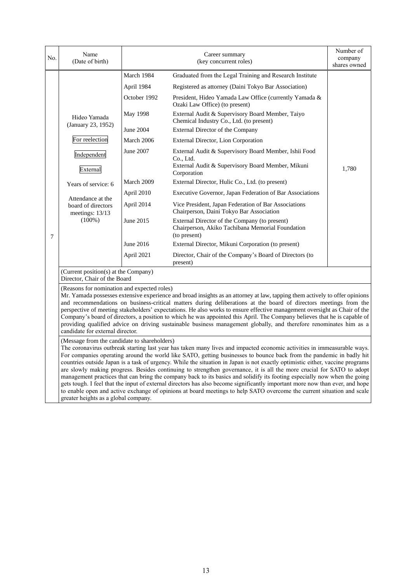| No. | Name<br>(Date of birth)                                                                                                                                                                                                                                                                                                                                                                                                                                                                                                                                                                                                                                                                                                                                                                                                                                                                          |              | Career summary<br>(key concurrent roles)                                                                          | Number of<br>company<br>shares owned |  |  |  |
|-----|--------------------------------------------------------------------------------------------------------------------------------------------------------------------------------------------------------------------------------------------------------------------------------------------------------------------------------------------------------------------------------------------------------------------------------------------------------------------------------------------------------------------------------------------------------------------------------------------------------------------------------------------------------------------------------------------------------------------------------------------------------------------------------------------------------------------------------------------------------------------------------------------------|--------------|-------------------------------------------------------------------------------------------------------------------|--------------------------------------|--|--|--|
|     |                                                                                                                                                                                                                                                                                                                                                                                                                                                                                                                                                                                                                                                                                                                                                                                                                                                                                                  | March 1984   | Graduated from the Legal Training and Research Institute                                                          |                                      |  |  |  |
|     |                                                                                                                                                                                                                                                                                                                                                                                                                                                                                                                                                                                                                                                                                                                                                                                                                                                                                                  | April 1984   | Registered as attorney (Daini Tokyo Bar Association)                                                              |                                      |  |  |  |
|     |                                                                                                                                                                                                                                                                                                                                                                                                                                                                                                                                                                                                                                                                                                                                                                                                                                                                                                  | October 1992 | President, Hideo Yamada Law Office (currently Yamada &<br>Ozaki Law Office) (to present)                          |                                      |  |  |  |
|     | Hideo Yamada<br>(January 23, 1952)                                                                                                                                                                                                                                                                                                                                                                                                                                                                                                                                                                                                                                                                                                                                                                                                                                                               | May 1998     | External Audit & Supervisory Board Member, Taiyo<br>Chemical Industry Co., Ltd. (to present)                      |                                      |  |  |  |
|     |                                                                                                                                                                                                                                                                                                                                                                                                                                                                                                                                                                                                                                                                                                                                                                                                                                                                                                  | June 2004    | External Director of the Company                                                                                  |                                      |  |  |  |
|     | For reelection                                                                                                                                                                                                                                                                                                                                                                                                                                                                                                                                                                                                                                                                                                                                                                                                                                                                                   | March 2006   | External Director, Lion Corporation                                                                               |                                      |  |  |  |
|     | Independent                                                                                                                                                                                                                                                                                                                                                                                                                                                                                                                                                                                                                                                                                                                                                                                                                                                                                      | June 2007    | External Audit & Supervisory Board Member, Ishii Food<br>Co., Ltd.                                                |                                      |  |  |  |
|     | External                                                                                                                                                                                                                                                                                                                                                                                                                                                                                                                                                                                                                                                                                                                                                                                                                                                                                         |              | External Audit & Supervisory Board Member, Mikuni<br>Corporation                                                  | 1,780                                |  |  |  |
|     | Years of service: 6                                                                                                                                                                                                                                                                                                                                                                                                                                                                                                                                                                                                                                                                                                                                                                                                                                                                              | March 2009   | External Director, Hulic Co., Ltd. (to present)                                                                   |                                      |  |  |  |
|     |                                                                                                                                                                                                                                                                                                                                                                                                                                                                                                                                                                                                                                                                                                                                                                                                                                                                                                  | April 2010   | Executive Governor, Japan Federation of Bar Associations                                                          |                                      |  |  |  |
|     | Attendance at the<br>board of directors<br>meetings: 13/13<br>$(100\%)$                                                                                                                                                                                                                                                                                                                                                                                                                                                                                                                                                                                                                                                                                                                                                                                                                          | April 2014   | Vice President, Japan Federation of Bar Associations<br>Chairperson, Daini Tokyo Bar Association                  |                                      |  |  |  |
| 7   |                                                                                                                                                                                                                                                                                                                                                                                                                                                                                                                                                                                                                                                                                                                                                                                                                                                                                                  | June 2015    | External Director of the Company (to present)<br>Chairperson, Akiko Tachibana Memorial Foundation<br>(to present) |                                      |  |  |  |
|     |                                                                                                                                                                                                                                                                                                                                                                                                                                                                                                                                                                                                                                                                                                                                                                                                                                                                                                  | June 2016    | External Director, Mikuni Corporation (to present)                                                                |                                      |  |  |  |
|     |                                                                                                                                                                                                                                                                                                                                                                                                                                                                                                                                                                                                                                                                                                                                                                                                                                                                                                  | April 2021   | Director, Chair of the Company's Board of Directors (to<br>present)                                               |                                      |  |  |  |
|     | (Current position(s) at the Company)<br>Director, Chair of the Board                                                                                                                                                                                                                                                                                                                                                                                                                                                                                                                                                                                                                                                                                                                                                                                                                             |              |                                                                                                                   |                                      |  |  |  |
|     | (Reasons for nomination and expected roles)<br>Mr. Yamada possesses extensive experience and broad insights as an attorney at law, tapping them actively to offer opinions<br>and recommendations on business-critical matters during deliberations at the board of directors meetings from the<br>perspective of meeting stakeholders' expectations. He also works to ensure effective management oversight as Chair of the<br>Company's board of directors, a position to which he was appointed this April. The Company believes that he is capable of<br>providing qualified advice on driving sustainable business management globally, and therefore renominates him as a<br>candidate for external director.                                                                                                                                                                              |              |                                                                                                                   |                                      |  |  |  |
|     | (Message from the candidate to shareholders)                                                                                                                                                                                                                                                                                                                                                                                                                                                                                                                                                                                                                                                                                                                                                                                                                                                     |              |                                                                                                                   |                                      |  |  |  |
|     | The coronavirus outbreak starting last year has taken many lives and impacted economic activities in immeasurable ways.<br>For companies operating around the world like SATO, getting businesses to bounce back from the pandemic in badly hit<br>countries outside Japan is a task of urgency. While the situation in Japan is not exactly optimistic either, vaccine programs<br>are slowly making progress. Besides continuing to strengthen governance, it is all the more crucial for SATO to adopt<br>management practices that can bring the company back to its basics and solidify its footing especially now when the going<br>gets tough. I feel that the input of external directors has also become significantly important more now than ever, and hope<br>to enable open and active exchange of opinions at board meetings to help SATO overcome the current situation and scale |              |                                                                                                                   |                                      |  |  |  |
|     | greater heights as a global company.                                                                                                                                                                                                                                                                                                                                                                                                                                                                                                                                                                                                                                                                                                                                                                                                                                                             |              |                                                                                                                   |                                      |  |  |  |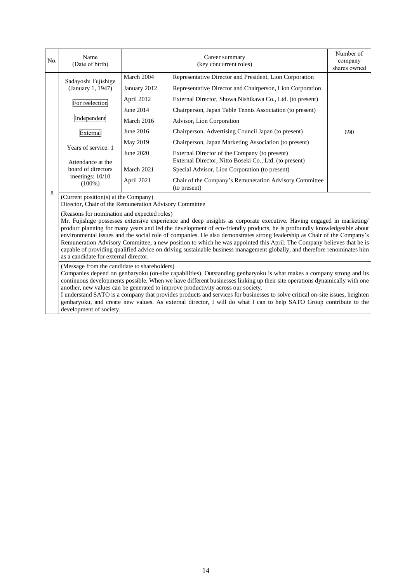| No. | Name<br>(Date of birth)                                                                                                                                                                                                                                                                                                                                                                                                                                                                                                                                                                                                                                                                                               |              | Career summary<br>(key concurrent roles)                                                                | Number of<br>company<br>shares owned |  |  |
|-----|-----------------------------------------------------------------------------------------------------------------------------------------------------------------------------------------------------------------------------------------------------------------------------------------------------------------------------------------------------------------------------------------------------------------------------------------------------------------------------------------------------------------------------------------------------------------------------------------------------------------------------------------------------------------------------------------------------------------------|--------------|---------------------------------------------------------------------------------------------------------|--------------------------------------|--|--|
|     | Sadayoshi Fujishige                                                                                                                                                                                                                                                                                                                                                                                                                                                                                                                                                                                                                                                                                                   | March 2004   | Representative Director and President, Lion Corporation                                                 |                                      |  |  |
|     | (January 1, 1947)                                                                                                                                                                                                                                                                                                                                                                                                                                                                                                                                                                                                                                                                                                     | January 2012 | Representative Director and Chairperson, Lion Corporation                                               |                                      |  |  |
|     | For reelection                                                                                                                                                                                                                                                                                                                                                                                                                                                                                                                                                                                                                                                                                                        | April 2012   | External Director, Showa Nishikawa Co., Ltd. (to present)                                               |                                      |  |  |
|     |                                                                                                                                                                                                                                                                                                                                                                                                                                                                                                                                                                                                                                                                                                                       | June 2014    | Chairperson, Japan Table Tennis Association (to present)                                                |                                      |  |  |
|     | Independent                                                                                                                                                                                                                                                                                                                                                                                                                                                                                                                                                                                                                                                                                                           | March 2016   | Advisor, Lion Corporation                                                                               |                                      |  |  |
|     | External                                                                                                                                                                                                                                                                                                                                                                                                                                                                                                                                                                                                                                                                                                              | June 2016    | Chairperson, Advertising Council Japan (to present)                                                     | 690                                  |  |  |
|     | Years of service: 1                                                                                                                                                                                                                                                                                                                                                                                                                                                                                                                                                                                                                                                                                                   | May 2019     | Chairperson, Japan Marketing Association (to present)                                                   |                                      |  |  |
|     | Attendance at the                                                                                                                                                                                                                                                                                                                                                                                                                                                                                                                                                                                                                                                                                                     | June 2020    | External Director of the Company (to present)<br>External Director, Nitto Boseki Co., Ltd. (to present) |                                      |  |  |
|     | board of directors<br>meetings: 10/10<br>$(100\%)$                                                                                                                                                                                                                                                                                                                                                                                                                                                                                                                                                                                                                                                                    | March 2021   | Special Advisor, Lion Corporation (to present)                                                          |                                      |  |  |
|     |                                                                                                                                                                                                                                                                                                                                                                                                                                                                                                                                                                                                                                                                                                                       | April 2021   | Chair of the Company's Remuneration Advisory Committee<br>(to present)                                  |                                      |  |  |
| 8   | (Current position(s) at the Company)<br>Director, Chair of the Remuneration Advisory Committee                                                                                                                                                                                                                                                                                                                                                                                                                                                                                                                                                                                                                        |              |                                                                                                         |                                      |  |  |
|     | (Reasons for nomination and expected roles)<br>Mr. Fujishige possesses extensive experience and deep insights as corporate executive. Having engaged in marketing/<br>product planning for many years and led the development of eco-friendly products, he is profoundly knowledgeable about<br>environmental issues and the social role of companies. He also demonstrates strong leadership as Chair of the Company's<br>Remuneration Advisory Committee, a new position to which he was appointed this April. The Company believes that he is<br>capable of providing qualified advice on driving sustainable business management globally, and therefore renominates him<br>as a candidate for external director. |              |                                                                                                         |                                      |  |  |
|     | (Message from the candidate to shareholders)<br>Companies depend on genbaryoku (on-site capabilities). Outstanding genbaryoku is what makes a company strong and its<br>continuous developments possible. When we have different businesses linking up their site operations dynamically with one<br>another, new values can be generated to improve productivity across our society.<br>I understand SATO is a company that provides products and services for businesses to solve critical on-site issues, heighten<br>genbaryoku, and create new values. As external director, I will do what I can to help SATO Group contribute to the<br>development of society.                                                |              |                                                                                                         |                                      |  |  |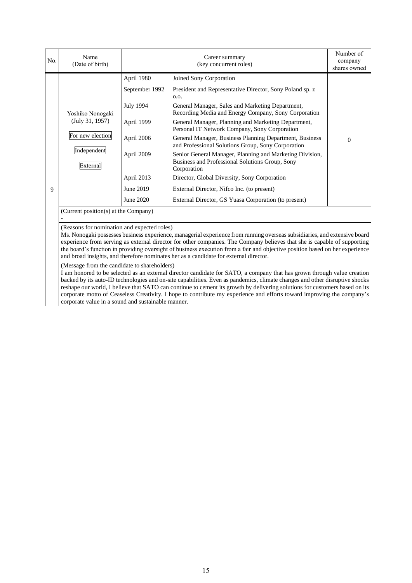| No. | Name<br>(Date of birth)                                                                                                                                                                                                                                                                                                                                                                                                                                                                                                                                                       | Career summary<br>(key concurrent roles) |                                                                                                                            | Number of<br>company<br>shares owned |
|-----|-------------------------------------------------------------------------------------------------------------------------------------------------------------------------------------------------------------------------------------------------------------------------------------------------------------------------------------------------------------------------------------------------------------------------------------------------------------------------------------------------------------------------------------------------------------------------------|------------------------------------------|----------------------------------------------------------------------------------------------------------------------------|--------------------------------------|
|     | Yoshiko Nonogaki<br>(July 31, 1957)<br>For new election<br>Independent<br>External                                                                                                                                                                                                                                                                                                                                                                                                                                                                                            | April 1980                               | Joined Sony Corporation                                                                                                    |                                      |
|     |                                                                                                                                                                                                                                                                                                                                                                                                                                                                                                                                                                               | September 1992                           | President and Representative Director, Sony Poland sp. z<br>0.0.                                                           |                                      |
|     |                                                                                                                                                                                                                                                                                                                                                                                                                                                                                                                                                                               | <b>July 1994</b>                         | General Manager, Sales and Marketing Department,<br>Recording Media and Energy Company, Sony Corporation                   |                                      |
|     |                                                                                                                                                                                                                                                                                                                                                                                                                                                                                                                                                                               | April 1999                               | General Manager, Planning and Marketing Department,<br>Personal IT Network Company, Sony Corporation                       |                                      |
|     |                                                                                                                                                                                                                                                                                                                                                                                                                                                                                                                                                                               | April 2006                               | General Manager, Business Planning Department, Business<br>and Professional Solutions Group, Sony Corporation              | $\mathbf{0}$                         |
|     |                                                                                                                                                                                                                                                                                                                                                                                                                                                                                                                                                                               | April 2009                               | Senior General Manager, Planning and Marketing Division,<br>Business and Professional Solutions Group, Sony<br>Corporation |                                      |
|     |                                                                                                                                                                                                                                                                                                                                                                                                                                                                                                                                                                               | April 2013                               | Director, Global Diversity, Sony Corporation                                                                               |                                      |
| 9   |                                                                                                                                                                                                                                                                                                                                                                                                                                                                                                                                                                               | June 2019                                | External Director, Nifco Inc. (to present)                                                                                 |                                      |
|     |                                                                                                                                                                                                                                                                                                                                                                                                                                                                                                                                                                               | June 2020                                | External Director, GS Yuasa Corporation (to present)                                                                       |                                      |
|     | (Current position(s) at the Company)                                                                                                                                                                                                                                                                                                                                                                                                                                                                                                                                          |                                          |                                                                                                                            |                                      |
|     | (Reasons for nomination and expected roles)<br>Ms. Nonogaki possesses business experience, managerial experience from running overseas subsidiaries, and extensive board<br>experience from serving as external director for other companies. The Company believes that she is capable of supporting<br>the board's function in providing oversight of business execution from a fair and objective position based on her experience<br>and broad insights, and therefore nominates her as a candidate for external director.<br>(Message from the candidate to shareholders) |                                          |                                                                                                                            |                                      |
|     | I am honored to be selected as an external director candidate for SATO, a company that has grown through value creation<br>backed by its auto-ID technologies and on-site capabilities. Even as pandemics, climate changes and other disruptive shocks<br>reshape our world, I believe that SATO can continue to cement its growth by delivering solutions for customers based on its<br>corporate motto of Ceaseless Creativity. I hope to contribute my experience and efforts toward improving the company's<br>corporate value in a sound and sustainable manner.         |                                          |                                                                                                                            |                                      |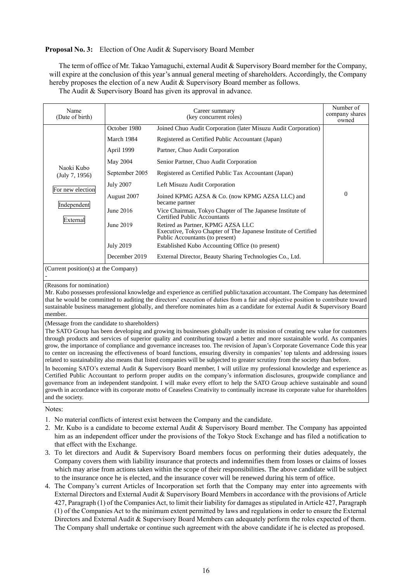## **Proposal No. 3:** Election of One Audit & Supervisory Board Member

The term of office of Mr. Takao Yamaguchi, external Audit & Supervisory Board member for the Company, will expire at the conclusion of this year's annual general meeting of shareholders. Accordingly, the Company hereby proposes the election of a new Audit & Supervisory Board member as follows.

The Audit & Supervisory Board has given its approval in advance.

| Name<br>(Date of birth)                                                     | Career summary<br>(key concurrent roles)                                                                                                                                 |                                                                                                                                                                                                                                                                                                                                                                                                                                                                                                                                                                                                                                                                                                                       | Number of<br>company shares<br>owned |
|-----------------------------------------------------------------------------|--------------------------------------------------------------------------------------------------------------------------------------------------------------------------|-----------------------------------------------------------------------------------------------------------------------------------------------------------------------------------------------------------------------------------------------------------------------------------------------------------------------------------------------------------------------------------------------------------------------------------------------------------------------------------------------------------------------------------------------------------------------------------------------------------------------------------------------------------------------------------------------------------------------|--------------------------------------|
| Naoki Kubo<br>(July 7, 1956)<br>For new election<br>Independent<br>External | October 1980<br>March 1984<br>April 1999<br>May 2004<br>September 2005<br><b>July 2007</b><br>August 2007<br>June 2016<br>June 2019<br><b>July 2019</b><br>December 2019 | Joined Chuo Audit Corporation (later Misuzu Audit Corporation)<br>Registered as Certified Public Accountant (Japan)<br>Partner, Chuo Audit Corporation<br>Senior Partner, Chuo Audit Corporation<br>Registered as Certified Public Tax Accountant (Japan)<br>Left Misuzu Audit Corporation<br>Joined KPMG AZSA & Co. (now KPMG AZSA LLC) and<br>became partner<br>Vice Chairman, Tokyo Chapter of The Japanese Institute of<br>Certified Public Accountants<br>Retired as Partner, KPMG AZSA LLC<br>Executive, Tokyo Chapter of The Japanese Institute of Certified<br>Public Accountants (to present)<br>Established Kubo Accounting Office (to present)<br>External Director, Beauty Sharing Technologies Co., Ltd. | $\theta$                             |
| (Current position(s) at the Company)                                        |                                                                                                                                                                          |                                                                                                                                                                                                                                                                                                                                                                                                                                                                                                                                                                                                                                                                                                                       |                                      |

-

#### (Reasons for nomination)

Mr. Kubo possesses professional knowledge and experience as certified public/taxation accountant. The Company has determined that he would be committed to auditing the directors' execution of duties from a fair and objective position to contribute toward sustainable business management globally, and therefore nominates him as a candidate for external Audit & Supervisory Board member.

#### (Message from the candidate to shareholders)

The SATO Group has been developing and growing its businesses globally under its mission of creating new value for customers through products and services of superior quality and contributing toward a better and more sustainable world. As companies grow, the importance of compliance and governance increases too. The revision of Japan's Corporate Governance Code this year to center on increasing the effectiveness of board functions, ensuring diversity in companies' top talents and addressing issues related to sustainability also means that listed companies will be subjected to greater scrutiny from the society than before.

In becoming SATO's external Audit & Supervisory Board member, I will utilize my professional knowledge and experience as Certified Public Accountant to perform proper audits on the company's information disclosures, groupwide compliance and governance from an independent standpoint. I will make every effort to help the SATO Group achieve sustainable and sound growth in accordance with its corporate motto of Ceaseless Creativity to continually increase its corporate value for shareholders and the society.

Notes:

- 1. No material conflicts of interest exist between the Company and the candidate.
- 2. Mr. Kubo is a candidate to become external Audit & Supervisory Board member. The Company has appointed him as an independent officer under the provisions of the Tokyo Stock Exchange and has filed a notification to that effect with the Exchange.
- 3. To let directors and Audit & Supervisory Board members focus on performing their duties adequately, the Company covers them with liability insurance that protects and indemnifies them from losses or claims of losses which may arise from actions taken within the scope of their responsibilities. The above candidate will be subject to the insurance once he is elected, and the insurance cover will be renewed during his term of office.
- 4. The Company's current Articles of Incorporation set forth that the Company may enter into agreements with External Directors and External Audit & Supervisory Board Members in accordance with the provisions of Article 427, Paragraph (1) of the Companies Act, to limit their liability for damages as stipulated in Article 427, Paragraph (1) of the Companies Act to the minimum extent permitted by laws and regulations in order to ensure the External Directors and External Audit & Supervisory Board Members can adequately perform the roles expected of them. The Company shall undertake or continue such agreement with the above candidate if he is elected as proposed.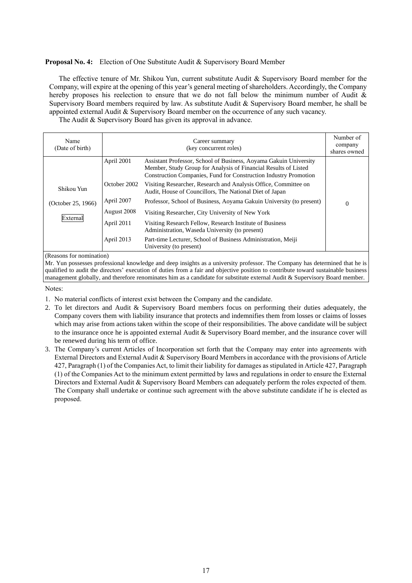## **Proposal No. 4:** Election of One Substitute Audit & Supervisory Board Member

The effective tenure of Mr. Shikou Yun, current substitute Audit & Supervisory Board member for the Company, will expire at the opening of this year's general meeting of shareholders. Accordingly, the Company hereby proposes his reelection to ensure that we do not fall below the minimum number of Audit & Supervisory Board members required by law. As substitute Audit & Supervisory Board member, he shall be appointed external Audit & Supervisory Board member on the occurrence of any such vacancy.

The Audit & Supervisory Board has given its approval in advance.

| Name<br>(Date of birth) | Career summary<br>(key concurrent roles) |                                                                                                                                                                                                          | Number of<br>company<br>shares owned |
|-------------------------|------------------------------------------|----------------------------------------------------------------------------------------------------------------------------------------------------------------------------------------------------------|--------------------------------------|
|                         | April 2001                               | Assistant Professor, School of Business, Aoyama Gakuin University<br>Member, Study Group for Analysis of Financial Results of Listed<br>Construction Companies, Fund for Construction Industry Promotion |                                      |
| Shikou Yun              | October 2002                             | Visiting Researcher, Research and Analysis Office, Committee on<br>Audit, House of Councillors, The National Diet of Japan                                                                               |                                      |
| (October 25, 1966)      | April 2007                               | Professor, School of Business, Aoyama Gakuin University (to present)                                                                                                                                     | $\Omega$                             |
|                         | August 2008                              | Visiting Researcher, City University of New York                                                                                                                                                         |                                      |
| External                | April 2011                               | Visiting Research Fellow, Research Institute of Business<br>Administration, Waseda University (to present)                                                                                               |                                      |
|                         | April 2013                               | Part-time Lecturer, School of Business Administration, Meiji<br>University (to present)                                                                                                                  |                                      |

(Reasons for nomination)

Mr. Yun possesses professional knowledge and deep insights as a university professor. The Company has determined that he is qualified to audit the directors' execution of duties from a fair and objective position to contribute toward sustainable business management globally, and therefore renominates him as a candidate for substitute external Audit & Supervisory Board member.

Notes:

- 1. No material conflicts of interest exist between the Company and the candidate.
- 2. To let directors and Audit & Supervisory Board members focus on performing their duties adequately, the Company covers them with liability insurance that protects and indemnifies them from losses or claims of losses which may arise from actions taken within the scope of their responsibilities. The above candidate will be subject to the insurance once he is appointed external Audit & Supervisory Board member, and the insurance cover will be renewed during his term of office.
- 3. The Company's current Articles of Incorporation set forth that the Company may enter into agreements with External Directors and External Audit & Supervisory Board Members in accordance with the provisions of Article 427, Paragraph (1) of the Companies Act, to limit their liability for damages as stipulated in Article 427, Paragraph (1) of the Companies Act to the minimum extent permitted by laws and regulations in order to ensure the External Directors and External Audit & Supervisory Board Members can adequately perform the roles expected of them. The Company shall undertake or continue such agreement with the above substitute candidate if he is elected as proposed.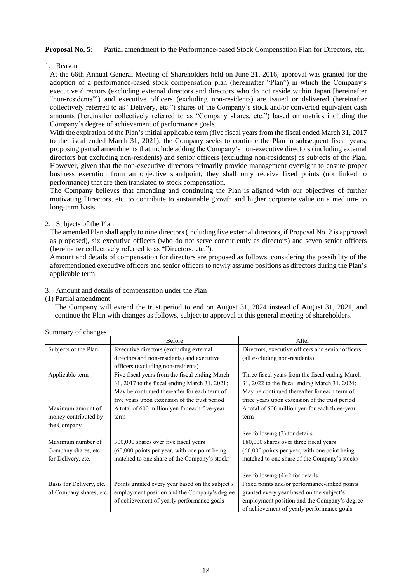**Proposal No. 5:** Partial amendment to the Performance-based Stock Compensation Plan for Directors, etc.

1.Reason

At the 66th Annual General Meeting of Shareholders held on June 21, 2016, approval was granted for the adoption of a performance-based stock compensation plan (hereinafter "Plan") in which the Company's executive directors (excluding external directors and directors who do not reside within Japan [hereinafter "non-residents"]) and executive officers (excluding non-residents) are issued or delivered (hereinafter collectively referred to as "Delivery, etc.") shares of the Company's stock and/or converted equivalent cash amounts (hereinafter collectively referred to as "Company shares, etc.") based on metrics including the Company's degree of achievement of performance goals.

With the expiration of the Plan's initial applicable term (five fiscal years from the fiscal ended March 31, 2017 to the fiscal ended March 31, 2021), the Company seeks to continue the Plan in subsequent fiscal years, proposing partial amendments that include adding the Company's non-executive directors (including external directors but excluding non-residents) and senior officers (excluding non-residents) as subjects of the Plan. However, given that the non-executive directors primarily provide management oversight to ensure proper business execution from an objective standpoint, they shall only receive fixed points (not linked to performance) that are then translated to stock compensation.

The Company believes that amending and continuing the Plan is aligned with our objectives of further motivating Directors, etc. to contribute to sustainable growth and higher corporate value on a medium- to long-term basis.

# 2. Subjects of the Plan

The amended Plan shall apply to nine directors (including five external directors, if Proposal No. 2 is approved as proposed), six executive officers (who do not serve concurrently as directors) and seven senior officers (hereinafter collectively referred to as "Directors, etc.").

Amount and details of compensation for directors are proposed as follows, considering the possibility of the aforementioned executive officers and senior officers to newly assume positions as directors during the Plan's applicable term.

## 3.Amount and details of compensation under the Plan

## (1) Partial amendment

The Company will extend the trust period to end on August 31, 2024 instead of August 31, 2021, and continue the Plan with changes as follows, subject to approval at this general meeting of shareholders.

|                          | Before                                           | After                                             |  |
|--------------------------|--------------------------------------------------|---------------------------------------------------|--|
| Subjects of the Plan     | Executive directors (excluding external          | Directors, executive officers and senior officers |  |
|                          | directors and non-residents) and executive       | (all excluding non-residents)                     |  |
|                          | officers (excluding non-residents)               |                                                   |  |
| Applicable term          | Five fiscal years from the fiscal ending March   | Three fiscal years from the fiscal ending March   |  |
|                          | 31, 2017 to the fiscal ending March 31, 2021;    | 31, 2022 to the fiscal ending March 31, 2024;     |  |
|                          | May be continued thereafter for each term of     | May be continued thereafter for each term of      |  |
|                          | five years upon extension of the trust period    | three years upon extension of the trust period    |  |
| Maximum amount of        | A total of 600 million yen for each five-year    | A total of 500 million yen for each three-year    |  |
| money contributed by     | term                                             | term                                              |  |
| the Company              |                                                  |                                                   |  |
|                          |                                                  | See following (3) for details                     |  |
| Maximum number of        | 300,000 shares over five fiscal years            | 180,000 shares over three fiscal years            |  |
| Company shares, etc.     | $(60,000)$ points per year, with one point being | $(60,000)$ points per year, with one point being  |  |
| for Delivery, etc.       | matched to one share of the Company's stock)     | matched to one share of the Company's stock)      |  |
|                          |                                                  |                                                   |  |
|                          |                                                  | See following (4)-2 for details                   |  |
| Basis for Delivery, etc. | Points granted every year based on the subject's | Fixed points and/or performance-linked points     |  |
| of Company shares, etc.  | employment position and the Company's degree     | granted every year based on the subject's         |  |
|                          | of achievement of yearly performance goals       | employment position and the Company's degree      |  |
|                          |                                                  | of achievement of yearly performance goals        |  |

## Summary of changes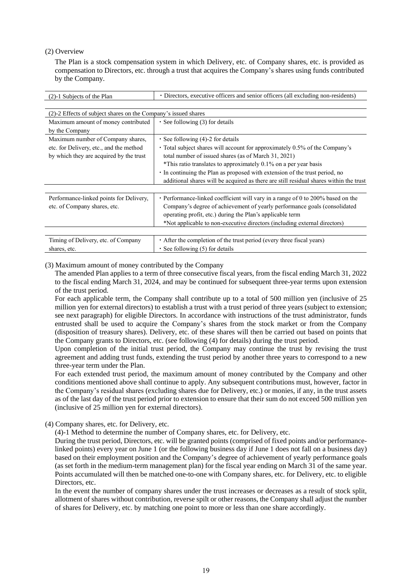## (2) Overview

The Plan is a stock compensation system in which Delivery, etc. of Company shares, etc. is provided as compensation to Directors, etc. through a trust that acquires the Company's shares using funds contributed by the Company.

| (2)-1 Subjects of the Plan                                     | • Directors, executive officers and senior officers (all excluding non-residents)                                        |  |  |
|----------------------------------------------------------------|--------------------------------------------------------------------------------------------------------------------------|--|--|
|                                                                |                                                                                                                          |  |  |
| (2)-2 Effects of subject shares on the Company's issued shares |                                                                                                                          |  |  |
| Maximum amount of money contributed<br>by the Company          | $\cdot$ See following (3) for details                                                                                    |  |  |
| Maximum number of Company shares,                              | • See following $(4)$ -2 for details                                                                                     |  |  |
| etc. for Delivery, etc., and the method                        | • Total subject shares will account for approximately 0.5% of the Company's                                              |  |  |
| by which they are acquired by the trust                        | total number of issued shares (as of March 31, 2021)<br>*This ratio translates to approximately 0.1% on a per year basis |  |  |
|                                                                | · In continuing the Plan as proposed with extension of the trust period, no                                              |  |  |
|                                                                | additional shares will be acquired as there are still residual shares within the trust                                   |  |  |
| Performance-linked points for Delivery,                        | • Performance-linked coefficient will vary in a range of 0 to 200% based on the                                          |  |  |
| etc. of Company shares, etc.                                   | Company's degree of achievement of yearly performance goals (consolidated)                                               |  |  |
|                                                                | operating profit, etc.) during the Plan's applicable term                                                                |  |  |
|                                                                | *Not applicable to non-executive directors (including external directors)                                                |  |  |
|                                                                |                                                                                                                          |  |  |
| Timing of Delivery, etc. of Company                            | • After the completion of the trust period (every three fiscal years)                                                    |  |  |
| shares, etc.                                                   | $\cdot$ See following (5) for details                                                                                    |  |  |

## (3) Maximum amount of money contributed by the Company

The amended Plan applies to a term of three consecutive fiscal years, from the fiscal ending March 31, 2022 to the fiscal ending March 31, 2024, and may be continued for subsequent three-year terms upon extension of the trust period.

For each applicable term, the Company shall contribute up to a total of 500 million yen (inclusive of 25 million yen for external directors) to establish a trust with a trust period of three years (subject to extension; see next paragraph) for eligible Directors. In accordance with instructions of the trust administrator, funds entrusted shall be used to acquire the Company's shares from the stock market or from the Company (disposition of treasury shares). Delivery, etc. of these shares will then be carried out based on points that the Company grants to Directors, etc. (see following (4) for details) during the trust period.

Upon completion of the initial trust period, the Company may continue the trust by revising the trust agreement and adding trust funds, extending the trust period by another three years to correspond to a new three-year term under the Plan.

For each extended trust period, the maximum amount of money contributed by the Company and other conditions mentioned above shall continue to apply. Any subsequent contributions must, however, factor in the Company's residual shares (excluding shares due for Delivery, etc.) or monies, if any, in the trust assets as of the last day of the trust period prior to extension to ensure that their sum do not exceed 500 million yen (inclusive of 25 million yen for external directors).

# (4) Company shares, etc. for Delivery, etc.

(4)-1 Method to determine the number of Company shares, etc. for Delivery, etc.

During the trust period, Directors, etc. will be granted points (comprised of fixed points and/or performancelinked points) every year on June 1 (or the following business day if June 1 does not fall on a business day) based on their employment position and the Company's degree of achievement of yearly performance goals (as set forth in the medium-term management plan) for the fiscal year ending on March 31 of the same year. Points accumulated will then be matched one-to-one with Company shares, etc. for Delivery, etc. to eligible Directors, etc.

In the event the number of company shares under the trust increases or decreases as a result of stock split, allotment of shares without contribution, reverse spilt or other reasons, the Company shall adjust the number of shares for Delivery, etc. by matching one point to more or less than one share accordingly.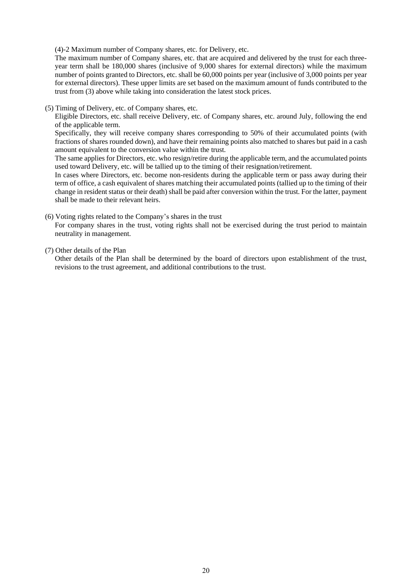(4)-2 Maximum number of Company shares, etc. for Delivery, etc.

The maximum number of Company shares, etc. that are acquired and delivered by the trust for each threeyear term shall be 180,000 shares (inclusive of 9,000 shares for external directors) while the maximum number of points granted to Directors, etc. shall be 60,000 points per year (inclusive of 3,000 points per year for external directors). These upper limits are set based on the maximum amount of funds contributed to the trust from (3) above while taking into consideration the latest stock prices.

(5) Timing of Delivery, etc. of Company shares, etc.

Eligible Directors, etc. shall receive Delivery, etc. of Company shares, etc. around July, following the end of the applicable term.

Specifically, they will receive company shares corresponding to 50% of their accumulated points (with fractions of shares rounded down), and have their remaining points also matched to shares but paid in a cash amount equivalent to the conversion value within the trust.

The same applies for Directors, etc. who resign/retire during the applicable term, and the accumulated points used toward Delivery, etc. will be tallied up to the timing of their resignation/retirement.

In cases where Directors, etc. become non-residents during the applicable term or pass away during their term of office, a cash equivalent of shares matching their accumulated points (tallied up to the timing of their change in resident status or their death) shall be paid after conversion within the trust. For the latter, payment shall be made to their relevant heirs.

#### (6) Voting rights related to the Company's shares in the trust

For company shares in the trust, voting rights shall not be exercised during the trust period to maintain neutrality in management.

#### (7) Other details of the Plan

Other details of the Plan shall be determined by the board of directors upon establishment of the trust, revisions to the trust agreement, and additional contributions to the trust.